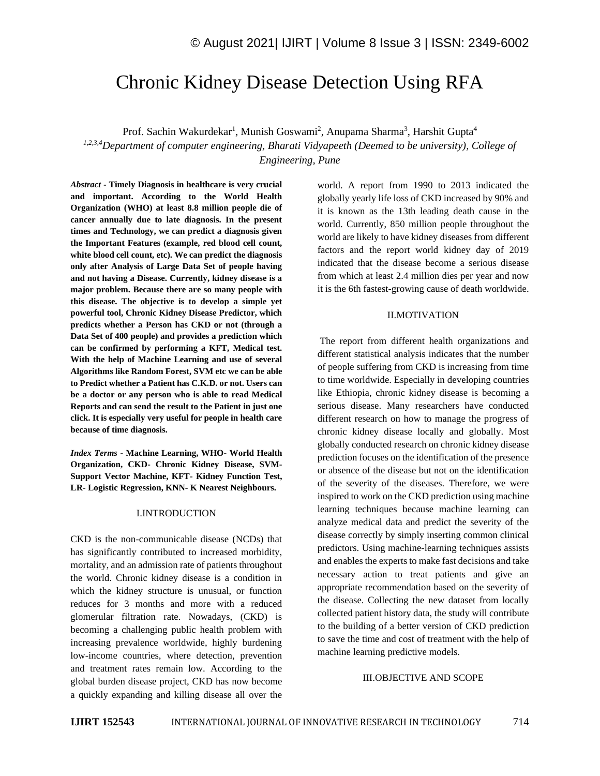# Chronic Kidney Disease Detection Using RFA

Prof. Sachin Wakurdekar<sup>1</sup>, Munish Goswami<sup>2</sup>, Anupama Sharma<sup>3</sup>, Harshit Gupta<sup>4</sup> *1,2,3,4Department of computer engineering, Bharati Vidyapeeth (Deemed to be university), College of Engineering, Pune*

*Abstract -* **Timely Diagnosis in healthcare is very crucial and important. According to the World Health Organization (WHO) at least 8.8 million people die of cancer annually due to late diagnosis. In the present times and Technology, we can predict a diagnosis given the Important Features (example, red blood cell count, white blood cell count, etc). We can predict the diagnosis only after Analysis of Large Data Set of people having and not having a Disease. Currently, kidney disease is a major problem. Because there are so many people with this disease. The objective is to develop a simple yet powerful tool, Chronic Kidney Disease Predictor, which predicts whether a Person has CKD or not (through a Data Set of 400 people) and provides a prediction which can be confirmed by performing a KFT, Medical test. With the help of Machine Learning and use of several Algorithms like Random Forest, SVM etc we can be able to Predict whether a Patient has C.K.D. or not. Users can be a doctor or any person who is able to read Medical Reports and can send the result to the Patient in just one click. It is especially very useful for people in health care because of time diagnosis.**

*Index Terms -* **Machine Learning, WHO- World Health Organization, CKD- Chronic Kidney Disease, SVM-Support Vector Machine, KFT- Kidney Function Test, LR- Logistic Regression, KNN- K Nearest Neighbours.**

# I.INTRODUCTION

CKD is the non-communicable disease (NCDs) that has significantly contributed to increased morbidity, mortality, and an admission rate of patients throughout the world. Chronic kidney disease is a condition in which the kidney structure is unusual, or function reduces for 3 months and more with a reduced glomerular filtration rate. Nowadays, (CKD) is becoming a challenging public health problem with increasing prevalence worldwide, highly burdening low-income countries, where detection, prevention and treatment rates remain low. According to the global burden disease project, CKD has now become a quickly expanding and killing disease all over the

world. A report from 1990 to 2013 indicated the globally yearly life loss of CKD increased by 90% and it is known as the 13th leading death cause in the world. Currently, 850 million people throughout the world are likely to have kidney diseases from different factors and the report world kidney day of 2019 indicated that the disease become a serious disease from which at least 2.4 million dies per year and now it is the 6th fastest-growing cause of death worldwide.

#### II.MOTIVATION

The report from different health organizations and different statistical analysis indicates that the number of people suffering from CKD is increasing from time to time worldwide. Especially in developing countries like Ethiopia, chronic kidney disease is becoming a serious disease. Many researchers have conducted different research on how to manage the progress of chronic kidney disease locally and globally. Most globally conducted research on chronic kidney disease prediction focuses on the identification of the presence or absence of the disease but not on the identification of the severity of the diseases. Therefore, we were inspired to work on the CKD prediction using machine learning techniques because machine learning can analyze medical data and predict the severity of the disease correctly by simply inserting common clinical predictors. Using machine-learning techniques assists and enables the experts to make fast decisions and take necessary action to treat patients and give an appropriate recommendation based on the severity of the disease. Collecting the new dataset from locally collected patient history data, the study will contribute to the building of a better version of CKD prediction to save the time and cost of treatment with the help of machine learning predictive models.

#### III.OBJECTIVE AND SCOPE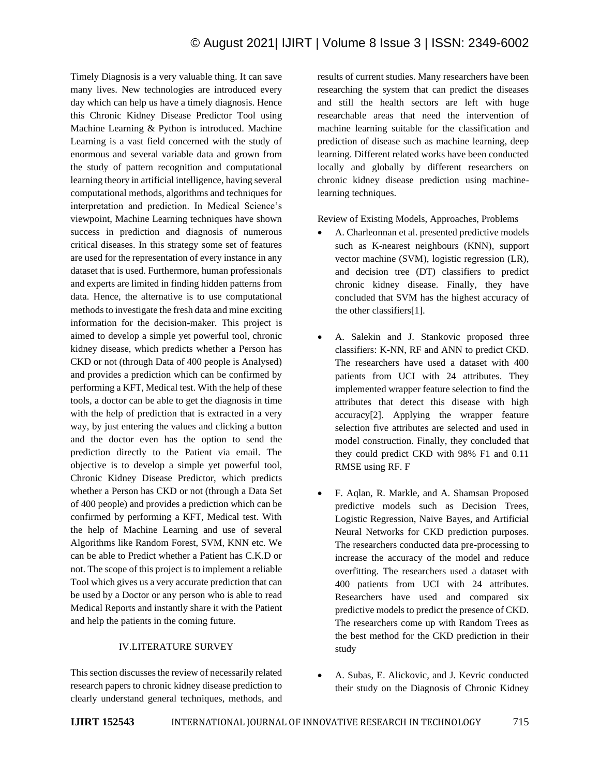Timely Diagnosis is a very valuable thing. It can save many lives. New technologies are introduced every day which can help us have a timely diagnosis. Hence this Chronic Kidney Disease Predictor Tool using Machine Learning & Python is introduced. Machine Learning is a vast field concerned with the study of enormous and several variable data and grown from the study of pattern recognition and computational learning theory in artificial intelligence, having several computational methods, algorithms and techniques for interpretation and prediction. In Medical Science's viewpoint, Machine Learning techniques have shown success in prediction and diagnosis of numerous critical diseases. In this strategy some set of features are used for the representation of every instance in any dataset that is used. Furthermore, human professionals and experts are limited in finding hidden patterns from data. Hence, the alternative is to use computational methods to investigate the fresh data and mine exciting information for the decision-maker. This project is aimed to develop a simple yet powerful tool, chronic kidney disease, which predicts whether a Person has CKD or not (through Data of 400 people is Analysed) and provides a prediction which can be confirmed by performing a KFT, Medical test. With the help of these tools, a doctor can be able to get the diagnosis in time with the help of prediction that is extracted in a very way, by just entering the values and clicking a button and the doctor even has the option to send the prediction directly to the Patient via email. The objective is to develop a simple yet powerful tool, Chronic Kidney Disease Predictor, which predicts whether a Person has CKD or not (through a Data Set of 400 people) and provides a prediction which can be confirmed by performing a KFT, Medical test. With the help of Machine Learning and use of several Algorithms like Random Forest, SVM, KNN etc. We can be able to Predict whether a Patient has C.K.D or not. The scope of this project is to implement a reliable Tool which gives us a very accurate prediction that can be used by a Doctor or any person who is able to read Medical Reports and instantly share it with the Patient and help the patients in the coming future.

# IV.LITERATURE SURVEY

This section discusses the review of necessarily related research papers to chronic kidney disease prediction to clearly understand general techniques, methods, and results of current studies. Many researchers have been researching the system that can predict the diseases and still the health sectors are left with huge researchable areas that need the intervention of machine learning suitable for the classification and prediction of disease such as machine learning, deep learning. Different related works have been conducted locally and globally by different researchers on chronic kidney disease prediction using machinelearning techniques.

Review of Existing Models, Approaches, Problems

- A. Charleonnan et al. presented predictive models such as K-nearest neighbours (KNN), support vector machine (SVM), logistic regression (LR), and decision tree (DT) classifiers to predict chronic kidney disease. Finally, they have concluded that SVM has the highest accuracy of the other classifiers[1].
- A. Salekin and J. Stankovic proposed three classifiers: K-NN, RF and ANN to predict CKD. The researchers have used a dataset with 400 patients from UCI with 24 attributes. They implemented wrapper feature selection to find the attributes that detect this disease with high accuracy[2]. Applying the wrapper feature selection five attributes are selected and used in model construction. Finally, they concluded that they could predict CKD with 98% F1 and 0.11 RMSE using RF. F
- F. Aqlan, R. Markle, and A. Shamsan Proposed predictive models such as Decision Trees, Logistic Regression, Naive Bayes, and Artificial Neural Networks for CKD prediction purposes. The researchers conducted data pre-processing to increase the accuracy of the model and reduce overfitting. The researchers used a dataset with 400 patients from UCI with 24 attributes. Researchers have used and compared six predictive models to predict the presence of CKD. The researchers come up with Random Trees as the best method for the CKD prediction in their study
- A. Subas, E. Alickovic, and J. Kevric conducted their study on the Diagnosis of Chronic Kidney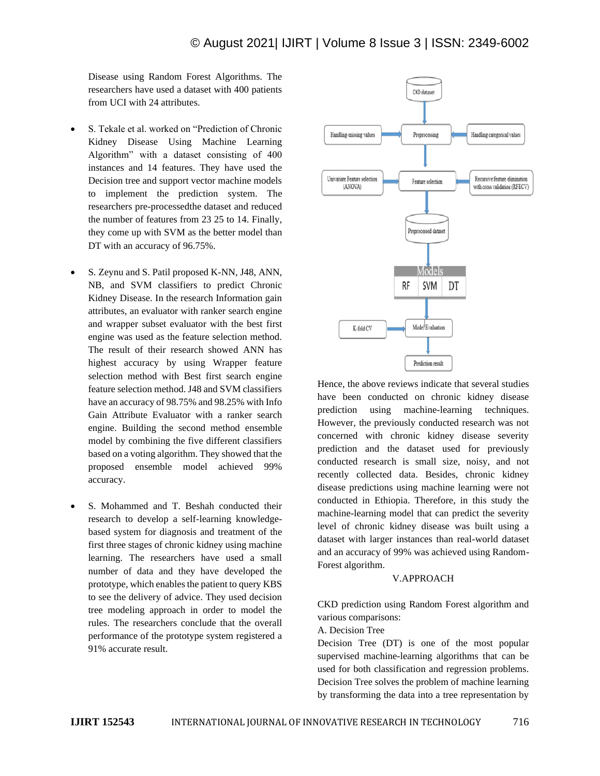Disease using Random Forest Algorithms. The researchers have used a dataset with 400 patients from UCI with 24 attributes.

- S. Tekale et al. worked on "Prediction of Chronic Kidney Disease Using Machine Learning Algorithm" with a dataset consisting of 400 instances and 14 features. They have used the Decision tree and support vector machine models to implement the prediction system. The researchers pre-processedthe dataset and reduced the number of features from 23 25 to 14. Finally, they come up with SVM as the better model than DT with an accuracy of 96.75%.
- S. Zeynu and S. Patil proposed K-NN, J48, ANN, NB, and SVM classifiers to predict Chronic Kidney Disease. In the research Information gain attributes, an evaluator with ranker search engine and wrapper subset evaluator with the best first engine was used as the feature selection method. The result of their research showed ANN has highest accuracy by using Wrapper feature selection method with Best first search engine feature selection method. J48 and SVM classifiers have an accuracy of 98.75% and 98.25% with Info Gain Attribute Evaluator with a ranker search engine. Building the second method ensemble model by combining the five different classifiers based on a voting algorithm. They showed that the proposed ensemble model achieved 99% accuracy.
- S. Mohammed and T. Beshah conducted their research to develop a self-learning knowledgebased system for diagnosis and treatment of the first three stages of chronic kidney using machine learning. The researchers have used a small number of data and they have developed the prototype, which enables the patient to query KBS to see the delivery of advice. They used decision tree modeling approach in order to model the rules. The researchers conclude that the overall performance of the prototype system registered a 91% accurate result.



Hence, the above reviews indicate that several studies have been conducted on chronic kidney disease prediction using machine-learning techniques. However, the previously conducted research was not concerned with chronic kidney disease severity prediction and the dataset used for previously conducted research is small size, noisy, and not recently collected data. Besides, chronic kidney disease predictions using machine learning were not conducted in Ethiopia. Therefore, in this study the machine-learning model that can predict the severity level of chronic kidney disease was built using a dataset with larger instances than real-world dataset and an accuracy of 99% was achieved using Random-Forest algorithm.

# V.APPROACH

CKD prediction using Random Forest algorithm and various comparisons:

A. Decision Tree

Decision Tree (DT) is one of the most popular supervised machine-learning algorithms that can be used for both classification and regression problems. Decision Tree solves the problem of machine learning by transforming the data into a tree representation by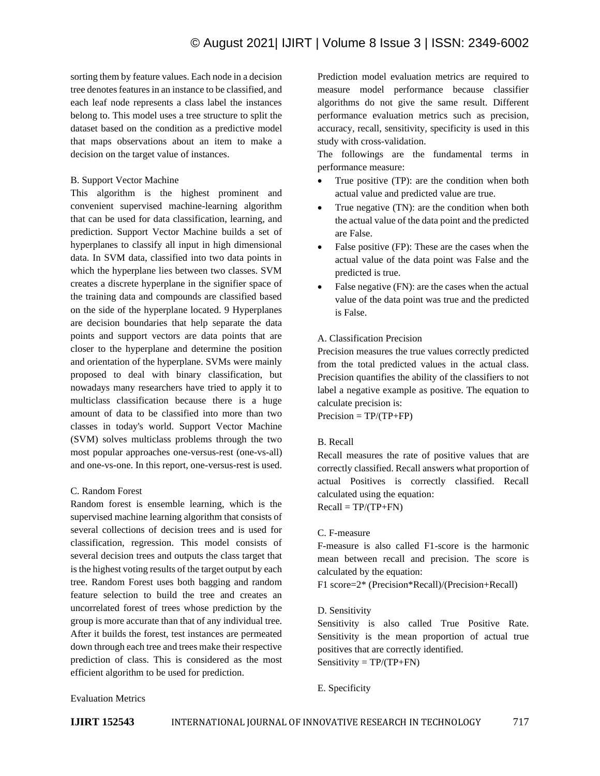sorting them by feature values. Each node in a decision tree denotes features in an instance to be classified, and each leaf node represents a class label the instances belong to. This model uses a tree structure to split the dataset based on the condition as a predictive model that maps observations about an item to make a decision on the target value of instances.

# B. Support Vector Machine

This algorithm is the highest prominent and convenient supervised machine-learning algorithm that can be used for data classification, learning, and prediction. Support Vector Machine builds a set of hyperplanes to classify all input in high dimensional data. In SVM data, classified into two data points in which the hyperplane lies between two classes. SVM creates a discrete hyperplane in the signifier space of the training data and compounds are classified based on the side of the hyperplane located. 9 Hyperplanes are decision boundaries that help separate the data points and support vectors are data points that are closer to the hyperplane and determine the position and orientation of the hyperplane. SVMs were mainly proposed to deal with binary classification, but nowadays many researchers have tried to apply it to multiclass classification because there is a huge amount of data to be classified into more than two classes in today's world. Support Vector Machine (SVM) solves multiclass problems through the two most popular approaches one-versus-rest (one-vs-all) and one-vs-one. In this report, one-versus-rest is used.

### C. Random Forest

Random forest is ensemble learning, which is the supervised machine learning algorithm that consists of several collections of decision trees and is used for classification, regression. This model consists of several decision trees and outputs the class target that is the highest voting results of the target output by each tree. Random Forest uses both bagging and random feature selection to build the tree and creates an uncorrelated forest of trees whose prediction by the group is more accurate than that of any individual tree. After it builds the forest, test instances are permeated down through each tree and trees make their respective prediction of class. This is considered as the most efficient algorithm to be used for prediction.

Prediction model evaluation metrics are required to measure model performance because classifier algorithms do not give the same result. Different performance evaluation metrics such as precision, accuracy, recall, sensitivity, specificity is used in this study with cross-validation.

The followings are the fundamental terms in performance measure:

- True positive (TP): are the condition when both actual value and predicted value are true.
- True negative (TN): are the condition when both the actual value of the data point and the predicted are False.
- False positive (FP): These are the cases when the actual value of the data point was False and the predicted is true.
- False negative (FN): are the cases when the actual value of the data point was true and the predicted is False.

# A. Classification Precision

Precision measures the true values correctly predicted from the total predicted values in the actual class. Precision quantifies the ability of the classifiers to not label a negative example as positive. The equation to calculate precision is:

 $Precision = TP/(TP + FP)$ 

### B. Recall

Recall measures the rate of positive values that are correctly classified. Recall answers what proportion of actual Positives is correctly classified. Recall calculated using the equation:

 $Recall = TP/(TP+FN)$ 

# C. F-measure

F-measure is also called F1-score is the harmonic mean between recall and precision. The score is calculated by the equation:

F1 score=2\* (Precision\*Recall)/(Precision+Recall)

### D. Sensitivity

Sensitivity is also called True Positive Rate. Sensitivity is the mean proportion of actual true positives that are correctly identified.  $Sensitivity = TP/(TP+FN)$ 

# E. Specificity

# Evaluation Metrics

**IJIRT 152543** INTERNATIONAL JOURNAL OF INNOVATIVE RESEARCH IN TECHNOLOGY 717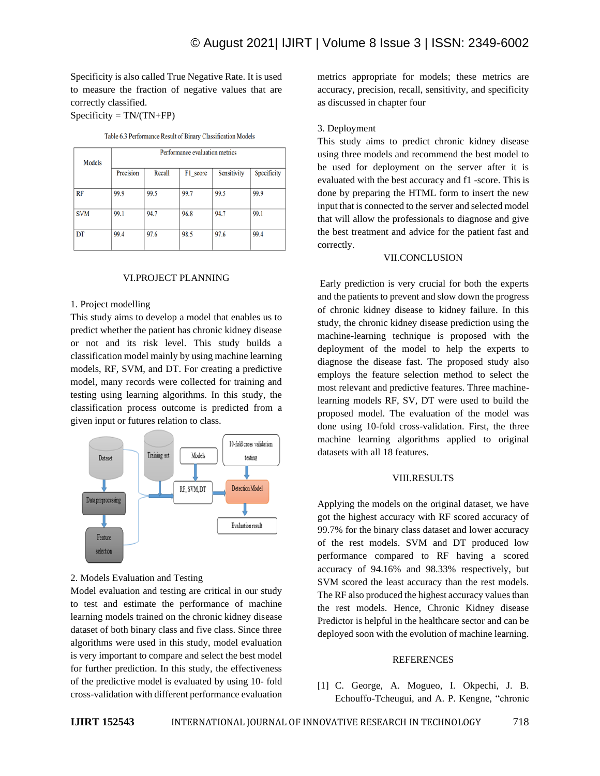Specificity is also called True Negative Rate. It is used to measure the fraction of negative values that are correctly classified.

 $Specificity = TN/(TN+FP)$ 

| Table 6.3 Performance Result of Binary Classification Models |  |  |
|--------------------------------------------------------------|--|--|
|                                                              |  |  |

| Models     | Performance evaluation metrics |        |          |             |             |  |
|------------|--------------------------------|--------|----------|-------------|-------------|--|
|            | Precision                      | Recall | F1 score | Sensitivity | Specificity |  |
| <b>RF</b>  | 99.9                           | 99.5   | 99.7     | 99.5        | 99.9        |  |
| <b>SVM</b> | 99.1                           | 94.7   | 96.8     | 94.7        | 99.1        |  |
| DT         | 99.4                           | 97.6   | 98.5     | 97.6        | 99.4        |  |

### VI.PROJECT PLANNING

#### 1. Project modelling

This study aims to develop a model that enables us to predict whether the patient has chronic kidney disease or not and its risk level. This study builds a classification model mainly by using machine learning models, RF, SVM, and DT. For creating a predictive model, many records were collected for training and testing using learning algorithms. In this study, the classification process outcome is predicted from a given input or futures relation to class.



### 2. Models Evaluation and Testing

Model evaluation and testing are critical in our study to test and estimate the performance of machine learning models trained on the chronic kidney disease dataset of both binary class and five class. Since three algorithms were used in this study, model evaluation is very important to compare and select the best model for further prediction. In this study, the effectiveness of the predictive model is evaluated by using 10- fold cross-validation with different performance evaluation metrics appropriate for models; these metrics are accuracy, precision, recall, sensitivity, and specificity as discussed in chapter four

#### 3. Deployment

This study aims to predict chronic kidney disease using three models and recommend the best model to be used for deployment on the server after it is evaluated with the best accuracy and f1 -score. This is done by preparing the HTML form to insert the new input that is connected to the server and selected model that will allow the professionals to diagnose and give the best treatment and advice for the patient fast and correctly.

# VII.CONCLUSION

Early prediction is very crucial for both the experts and the patients to prevent and slow down the progress of chronic kidney disease to kidney failure. In this study, the chronic kidney disease prediction using the machine-learning technique is proposed with the deployment of the model to help the experts to diagnose the disease fast. The proposed study also employs the feature selection method to select the most relevant and predictive features. Three machinelearning models RF, SV, DT were used to build the proposed model. The evaluation of the model was done using 10-fold cross-validation. First, the three machine learning algorithms applied to original datasets with all 18 features.

### VIII.RESULTS

Applying the models on the original dataset, we have got the highest accuracy with RF scored accuracy of 99.7% for the binary class dataset and lower accuracy of the rest models. SVM and DT produced low performance compared to RF having a scored accuracy of 94.16% and 98.33% respectively, but SVM scored the least accuracy than the rest models. The RF also produced the highest accuracy values than the rest models. Hence, Chronic Kidney disease Predictor is helpful in the healthcare sector and can be deployed soon with the evolution of machine learning.

#### REFERENCES

[1] C. George, A. Mogueo, I. Okpechi, J. B. Echouffo-Tcheugui, and A. P. Kengne, "chronic